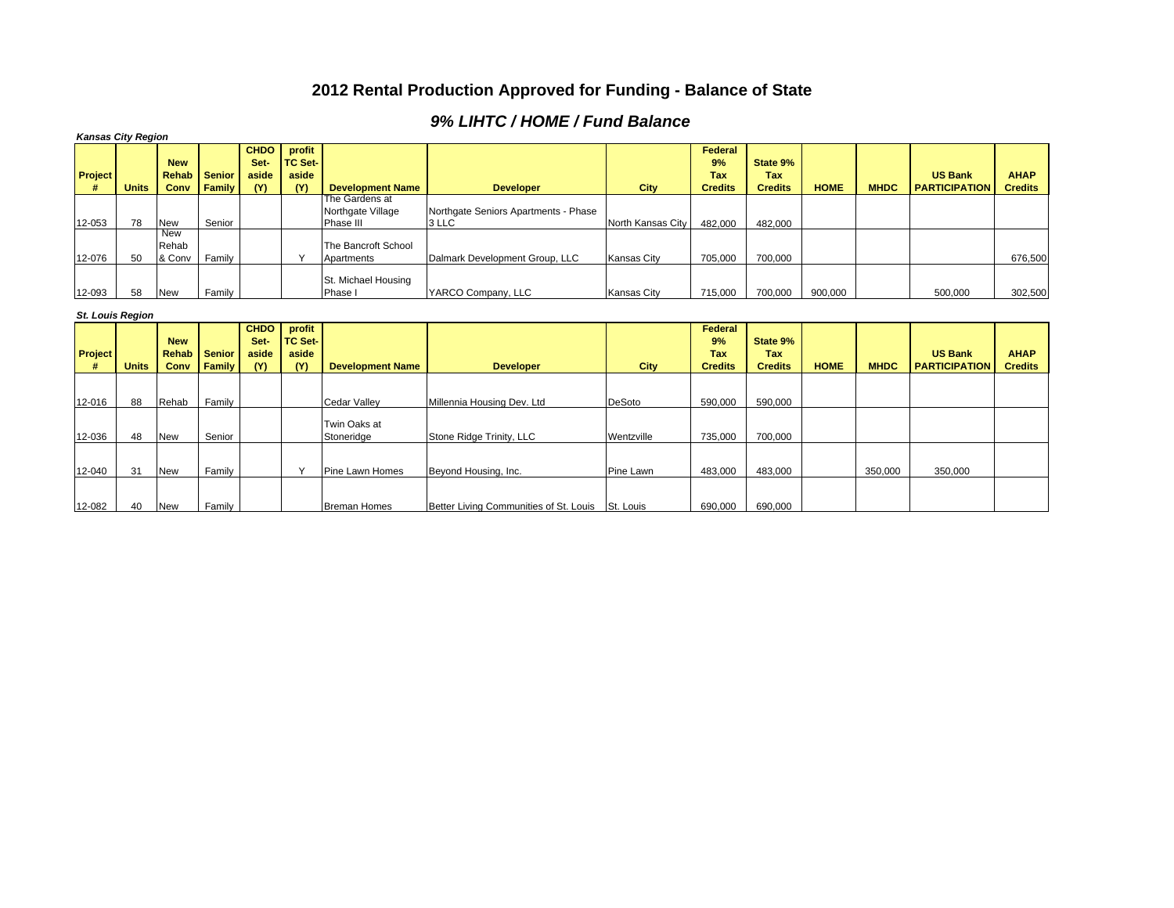## **2012 Rental Production Approved for Funding - Balance of State**

## *9% LIHTC / HOME / Fund Balance*

| <b>Kansas City Region</b> |              |                               |               |                              |                                   |                                                  |                                                                |                        |                             |                    |             |             |                      |                |
|---------------------------|--------------|-------------------------------|---------------|------------------------------|-----------------------------------|--------------------------------------------------|----------------------------------------------------------------|------------------------|-----------------------------|--------------------|-------------|-------------|----------------------|----------------|
| Project                   |              | <b>New</b><br><b>Rehab</b>    | <b>Senior</b> | <b>CHDO</b><br>Set-<br>aside | profit<br><b>TC Set-</b><br>aside |                                                  |                                                                |                        | Federal<br>9%<br><b>Tax</b> | State 9%<br>Tax    |             |             | <b>US Bank</b>       | <b>AHAP</b>    |
|                           | <b>Units</b> | Conv                          | Family        | (Y)                          | (Y)                               | <b>Development Name</b>                          | <b>Developer</b>                                               | City                   | <b>Credits</b>              | <b>Credits</b>     | <b>HOME</b> | <b>MHDC</b> | <b>PARTICIPATION</b> | <b>Credits</b> |
| 12-053                    | 78           | <b>New</b>                    | Senior        |                              |                                   | The Gardens at<br>Northgate Village<br>Phase III | Northgate Seniors Apartments - Phase<br>3 LLC                  | North Kansas City      | 482.000                     | 482.000            |             |             |                      |                |
| 12-076                    | 50           | <b>New</b><br>Rehab<br>& Conv | Family        |                              | Y                                 | The Bancroft School<br>Apartments                | Dalmark Development Group, LLC                                 | <b>Kansas City</b>     | 705,000                     | 700,000            |             |             |                      | 676,500        |
| 12-093                    | 58           | <b>New</b>                    | Family        |                              |                                   | St. Michael Housing<br>Phase !                   | YARCO Company, LLC                                             | <b>Kansas City</b>     | 715,000                     | 700,000            | 900.000     |             | 500,000              | 302,500        |
| <b>St. Louis Region</b>   |              |                               |               |                              |                                   |                                                  |                                                                |                        |                             |                    |             |             |                      |                |
|                           |              |                               |               |                              |                                   |                                                  |                                                                |                        |                             |                    |             |             |                      |                |
| <b>Project</b>            |              | <b>New</b><br><b>Rehab</b>    | <b>Senior</b> | <b>CHDO</b><br>Set-<br>aside | profit<br><b>TC Set-</b><br>aside |                                                  |                                                                |                        | Federal<br>9%<br><b>Tax</b> | State 9%<br>Tax    |             |             | <b>US Bank</b>       | <b>AHAP</b>    |
|                           | <b>Units</b> | Conv                          | Family        | (Y)                          | (Y)                               | <b>Development Name</b>                          | <b>Developer</b>                                               | City                   | <b>Credits</b>              | <b>Credits</b>     | <b>HOME</b> | <b>MHDC</b> | <b>PARTICIPATION</b> | <b>Credits</b> |
| 12-016                    | 88           | Rehab                         | Family        |                              |                                   | <b>Cedar Valley</b>                              | Millennia Housing Dev. Ltd                                     | <b>DeSoto</b>          | 590,000                     | 590.000            |             |             |                      |                |
| 12-036                    | 48           | <b>New</b>                    | Senior        |                              |                                   | Twin Oaks at<br>Stoneridge                       | Stone Ridge Trinity, LLC                                       | Wentzville             | 735,000                     | 700.000            |             |             |                      |                |
|                           | 31           |                               | Family        |                              | Y                                 |                                                  |                                                                |                        |                             |                    |             |             |                      |                |
| 12-040<br>12-082          | 40           | <b>New</b><br><b>New</b>      | Family        |                              |                                   | Pine Lawn Homes<br><b>Breman Homes</b>           | Beyond Housing, Inc.<br>Better Living Communities of St. Louis | Pine Lawn<br>St. Louis | 483,000<br>690,000          | 483,000<br>690,000 |             | 350,000     | 350,000              |                |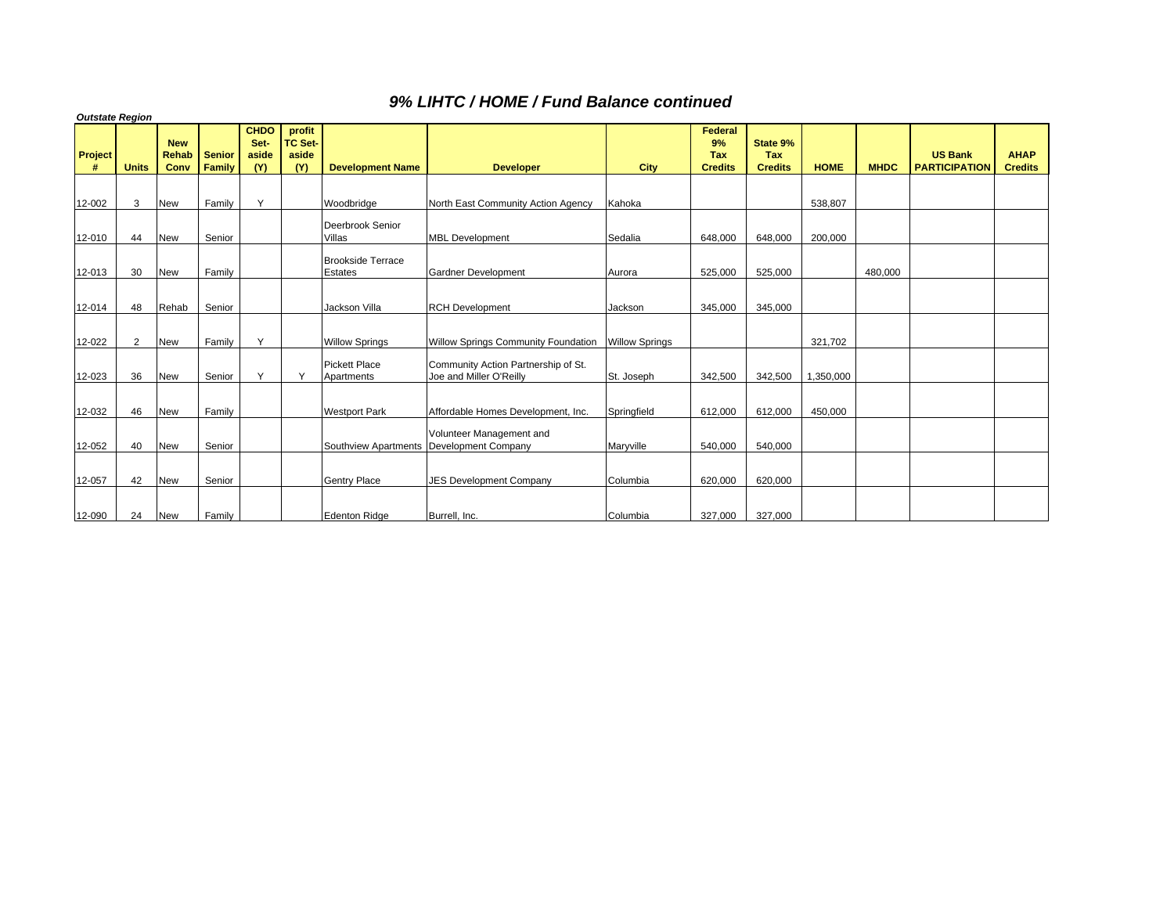## *9% LIHTC / HOME / Fund Balance continued*

| <b>Outstate Region</b> |              |                                    |                         |                                     |                                          |                                            |                                                                      |             |                                               |                                          |             |             |                                        |                               |
|------------------------|--------------|------------------------------------|-------------------------|-------------------------------------|------------------------------------------|--------------------------------------------|----------------------------------------------------------------------|-------------|-----------------------------------------------|------------------------------------------|-------------|-------------|----------------------------------------|-------------------------------|
| <b>Project</b><br>#    | <b>Units</b> | <b>New</b><br><b>Rehab</b><br>Conv | <b>Senior</b><br>Family | <b>CHDO</b><br>Set-<br>aside<br>(Y) | profit<br><b>TC Set-</b><br>aside<br>(Y) | <b>Development Name</b>                    | <b>Developer</b>                                                     | <b>City</b> | Federal<br>9%<br><b>Tax</b><br><b>Credits</b> | State 9%<br><b>Tax</b><br><b>Credits</b> | <b>HOME</b> | <b>MHDC</b> | <b>US Bank</b><br><b>PARTICIPATION</b> | <b>AHAP</b><br><b>Credits</b> |
|                        |              |                                    |                         |                                     |                                          |                                            |                                                                      |             |                                               |                                          |             |             |                                        |                               |
| 12-002                 | 3            | <b>New</b>                         | Family                  | Y                                   |                                          | Woodbridge                                 | North East Community Action Agency                                   | Kahoka      |                                               |                                          | 538,807     |             |                                        |                               |
| 12-010                 | 44           | <b>New</b>                         | Senior                  |                                     |                                          | Deerbrook Senior<br>Villas                 | <b>MBL Development</b>                                               | Sedalia     | 648,000                                       | 648.000                                  | 200,000     |             |                                        |                               |
| 12-013                 | 30           | <b>New</b>                         | Family                  |                                     |                                          | <b>Brookside Terrace</b><br><b>Estates</b> | <b>Gardner Development</b>                                           | Aurora      | 525,000                                       | 525,000                                  |             | 480,000     |                                        |                               |
|                        |              |                                    |                         |                                     |                                          |                                            |                                                                      |             |                                               |                                          |             |             |                                        |                               |
| 12-014                 | 48           | Rehab                              | Senior                  |                                     |                                          | Jackson Villa                              | <b>RCH Development</b>                                               | Jackson     | 345,000                                       | 345,000                                  |             |             |                                        |                               |
| 12-022                 | 2            | <b>New</b>                         | Family                  | Y                                   |                                          | <b>Willow Springs</b>                      | Willow Springs Community Foundation   Willow Springs                 |             |                                               |                                          | 321,702     |             |                                        |                               |
| 12-023                 | 36           | <b>New</b>                         | Senior                  | $\vee$                              |                                          | <b>Pickett Place</b><br>Apartments         | Community Action Partnership of St.<br>Joe and Miller O'Reilly       | St. Joseph  | 342,500                                       | 342,500                                  | 1,350,000   |             |                                        |                               |
| 12-032                 | 46           | <b>New</b>                         | Family                  |                                     |                                          | <b>Westport Park</b>                       | Affordable Homes Development, Inc.                                   | Springfield | 612,000                                       | 612,000                                  | 450,000     |             |                                        |                               |
| 12-052                 | 40           | <b>New</b>                         | Senior                  |                                     |                                          |                                            | Volunteer Management and<br>Southview Apartments Development Company | Maryville   | 540,000                                       | 540,000                                  |             |             |                                        |                               |
| 12-057                 | 42           | <b>New</b>                         | Senior                  |                                     |                                          | <b>Gentry Place</b>                        | <b>JES Development Company</b>                                       | Columbia    | 620,000                                       | 620,000                                  |             |             |                                        |                               |
| 12-090                 | 24           | <b>New</b>                         | Family                  |                                     |                                          | <b>Edenton Ridge</b>                       | Burrell, Inc.                                                        | Columbia    | 327,000                                       | 327,000                                  |             |             |                                        |                               |